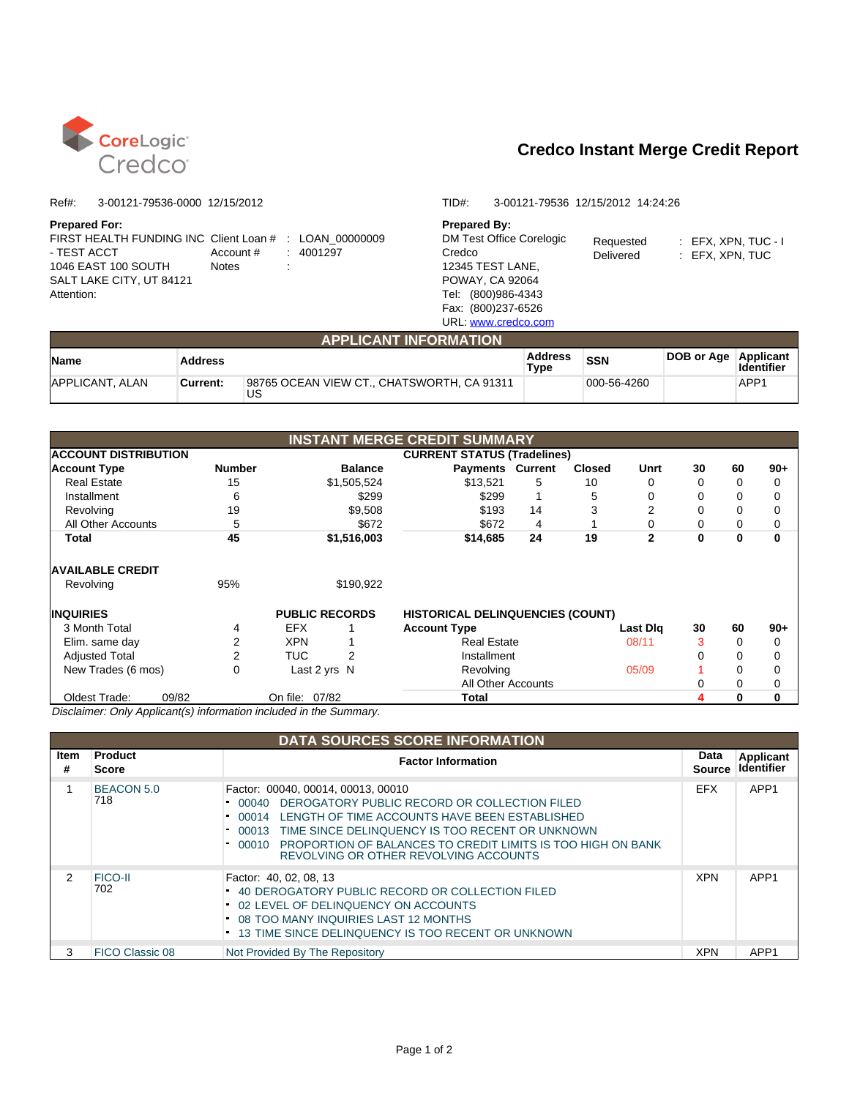

| FIRST HEALTH FUNDING INC Client Loan # : LOAN 00000009 |                     |  |
|--------------------------------------------------------|---------------------|--|
| - TEST ACCT                                            | Account # : 4001297 |  |
| 1046 EAST 100 SOUTH                                    | <b>Notes</b>        |  |
| SALT LAKE CITY, UT 84121                               |                     |  |
| Attention:                                             |                     |  |

#### Ref#: 3-00121-79536-0000 12/15/2012 TID#: 3-00121-79536 12/15/2012 14:24:26

**Prepared For: Prepared By:** DM Test Office Corelogic Credco 12345 TEST LANE, POWAY, CA 92064 Tel: (800)986-4343 Fax: (800)237-6526 URL: www.credco.com

Requested : EFX, XPN, TUC - I

Delivered : EFX, XPN, TUC

|                        |                 | <b>APPLICANT INFORMATION</b>                     |                        |             |            |                                |
|------------------------|-----------------|--------------------------------------------------|------------------------|-------------|------------|--------------------------------|
| <b>Name</b>            | <b>Address</b>  |                                                  | <b>Address</b><br>Type | <b>SSN</b>  | DOB or Age | Applicant<br><b>Identifier</b> |
| <b>APPLICANT, ALAN</b> | <b>Current:</b> | 98765 OCEAN VIEW CT., CHATSWORTH, CA 91311<br>บร |                        | 000-56-4260 |            | APP1                           |

|                                                                                                                                                                                                                                                             |               |                       |                    | <b>INSTANT MERGE CREDIT SUMMARY</b>     |    |               |              |          |    |       |
|-------------------------------------------------------------------------------------------------------------------------------------------------------------------------------------------------------------------------------------------------------------|---------------|-----------------------|--------------------|-----------------------------------------|----|---------------|--------------|----------|----|-------|
| <b>ACCOUNT DISTRIBUTION</b>                                                                                                                                                                                                                                 |               |                       |                    | <b>CURRENT STATUS (Tradelines)</b>      |    |               |              |          |    |       |
| <b>Account Type</b>                                                                                                                                                                                                                                         | <b>Number</b> |                       | <b>Balance</b>     | <b>Payments Current</b>                 |    | <b>Closed</b> | Unrt         | 30       | 60 | $90+$ |
| <b>Real Estate</b>                                                                                                                                                                                                                                          | 15            |                       | \$1,505,524        | \$13.521                                | 5. | 10            | 0            |          |    | 0     |
| Installment                                                                                                                                                                                                                                                 | 6             |                       | \$299              | \$299                                   |    | 5             | 0            |          |    | 0     |
| Revolving                                                                                                                                                                                                                                                   | 19            |                       | \$9,508            | \$193                                   | 14 | 3             | 2            |          |    | 0     |
| All Other Accounts                                                                                                                                                                                                                                          | 5             |                       | \$672              | \$672                                   | 4  |               | 0            | 0        |    | 0     |
| Total                                                                                                                                                                                                                                                       | 45            |                       | \$1,516,003        | \$14,685                                | 24 | 19            | $\mathbf{2}$ | $\bf{0}$ | O  | 0     |
| <b>AVAILABLE CREDIT</b>                                                                                                                                                                                                                                     |               |                       |                    |                                         |    |               |              |          |    |       |
| Revolving                                                                                                                                                                                                                                                   | 95%           |                       | \$190,922          |                                         |    |               |              |          |    |       |
| <b>INQUIRIES</b>                                                                                                                                                                                                                                            |               | <b>PUBLIC RECORDS</b> |                    | <b>HISTORICAL DELINQUENCIES (COUNT)</b> |    |               |              |          |    |       |
| 3 Month Total                                                                                                                                                                                                                                               | 4             | EFX.                  |                    | <b>Account Type</b>                     |    |               | Last Dlg     | 30       | 60 | $90+$ |
| Elim. same day                                                                                                                                                                                                                                              |               | <b>XPN</b>            |                    | <b>Real Estate</b>                      |    |               | 08/11        | 3        |    | 0     |
| <b>Adjusted Total</b>                                                                                                                                                                                                                                       | 2             | TUC.                  | 2                  | Installment                             |    |               |              |          |    | 0     |
| New Trades (6 mos)                                                                                                                                                                                                                                          | 0             | Last 2 yrs N          |                    | Revolving                               |    |               | 05/09        |          |    | 0     |
|                                                                                                                                                                                                                                                             |               |                       | All Other Accounts |                                         |    |               |              |          | 0  |       |
| 09/82<br>Oldest Trade:<br>$\mathbf{D}$ is the second of the contracted interests of the second second second second second second second second second second second second second second second second second second second second second second second se |               | On file: 07/82        |                    | Total                                   |    |               |              |          |    | 0     |

Disclaimer: Only Applicant(s) information included in the Summary.

|           |                                | <b>DATA SOURCES SCORE INFORMATION</b>                                                                                                                                                                                                                                                                                                           |                |                                |
|-----------|--------------------------------|-------------------------------------------------------------------------------------------------------------------------------------------------------------------------------------------------------------------------------------------------------------------------------------------------------------------------------------------------|----------------|--------------------------------|
| ltem<br># | <b>Product</b><br><b>Score</b> | <b>Factor Information</b>                                                                                                                                                                                                                                                                                                                       | Data<br>Source | <b>Applicant</b><br>Identifier |
|           | <b>BEACON 5.0</b><br>718       | Factor: 00040, 00014, 00013, 00010<br>DEROGATORY PUBLIC RECORD OR COLLECTION FILED<br>00040<br>LENGTH OF TIME ACCOUNTS HAVE BEEN ESTABLISHED<br>00014<br>TIME SINCE DELINQUENCY IS TOO RECENT OR UNKNOWN<br>$-00013$<br><b>PROPORTION OF BALANCES TO CREDIT LIMITS IS TOO HIGH ON BANK</b><br>$-00010$<br>REVOLVING OR OTHER REVOLVING ACCOUNTS | <b>EFX</b>     | APP <sub>1</sub>               |
| 2         | <b>FICO-II</b><br>702          | Factor: 40, 02, 08, 13<br>40 DEROGATORY PUBLIC RECORD OR COLLECTION FILED<br>02 LEVEL OF DELINQUENCY ON ACCOUNTS<br>08 TOO MANY INQUIRIES LAST 12 MONTHS<br><b>13 TIME SINCE DELINQUENCY IS TOO RECENT OR UNKNOWN</b>                                                                                                                           | <b>XPN</b>     | APP <sub>1</sub>               |
| 3         | FICO Classic 08                | Not Provided By The Repository                                                                                                                                                                                                                                                                                                                  | XPN            | APP <sub>1</sub>               |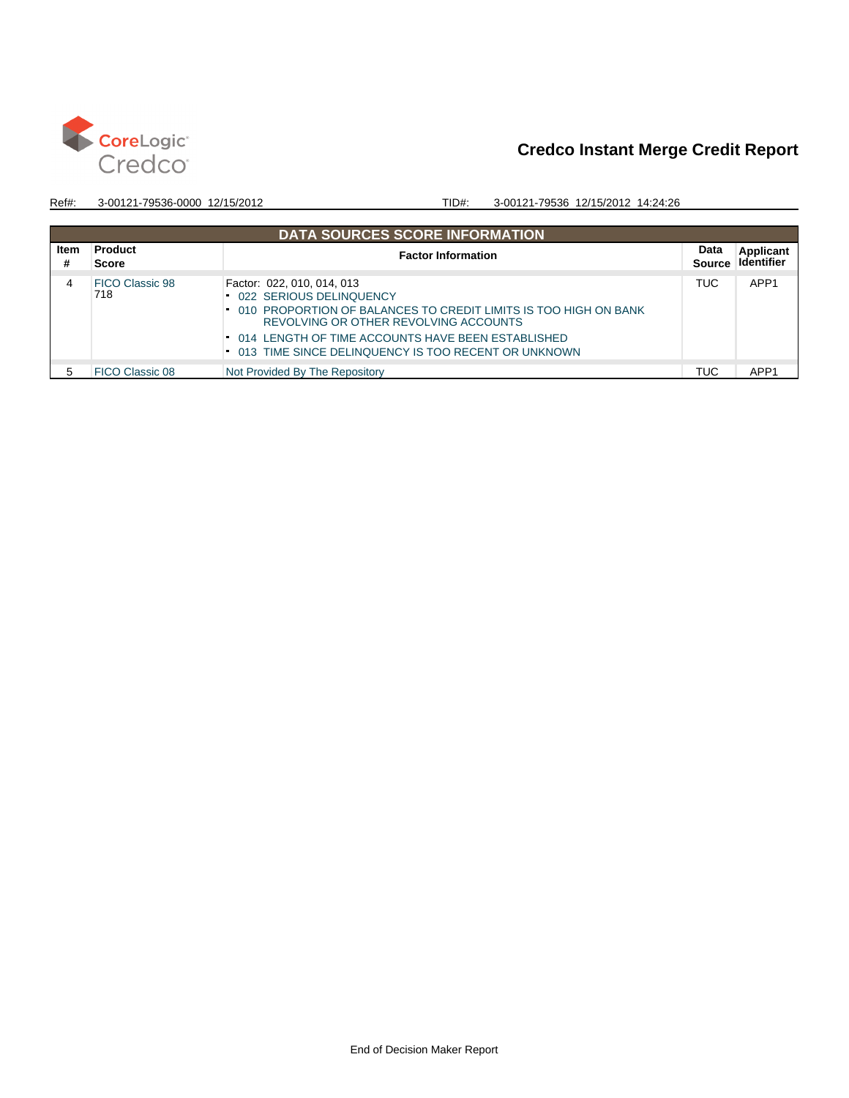

|           | <b>DATA SOURCES SCORE INFORMATION</b> |                                                                                                                                                                                                                                                                               |                       |                                |  |  |  |  |  |  |  |
|-----------|---------------------------------------|-------------------------------------------------------------------------------------------------------------------------------------------------------------------------------------------------------------------------------------------------------------------------------|-----------------------|--------------------------------|--|--|--|--|--|--|--|
| Item<br># | <b>Product</b><br><b>Score</b>        | <b>Factor Information</b>                                                                                                                                                                                                                                                     | Data<br><b>Source</b> | <b>Applicant</b><br>Identifier |  |  |  |  |  |  |  |
| 4         | FICO Classic 98<br>718                | Factor: 022, 010, 014, 013<br>022 SERIOUS DELINQUENCY<br>010 PROPORTION OF BALANCES TO CREDIT LIMITS IS TOO HIGH ON BANK<br>REVOLVING OR OTHER REVOLVING ACCOUNTS<br>014 LENGTH OF TIME ACCOUNTS HAVE BEEN ESTABLISHED<br>013 TIME SINCE DELINQUENCY IS TOO RECENT OR UNKNOWN | TUC.                  | APP <sub>1</sub>               |  |  |  |  |  |  |  |
|           | FICO Classic 08                       | Not Provided By The Repository                                                                                                                                                                                                                                                | <b>TUC</b>            | APP <sub>1</sub>               |  |  |  |  |  |  |  |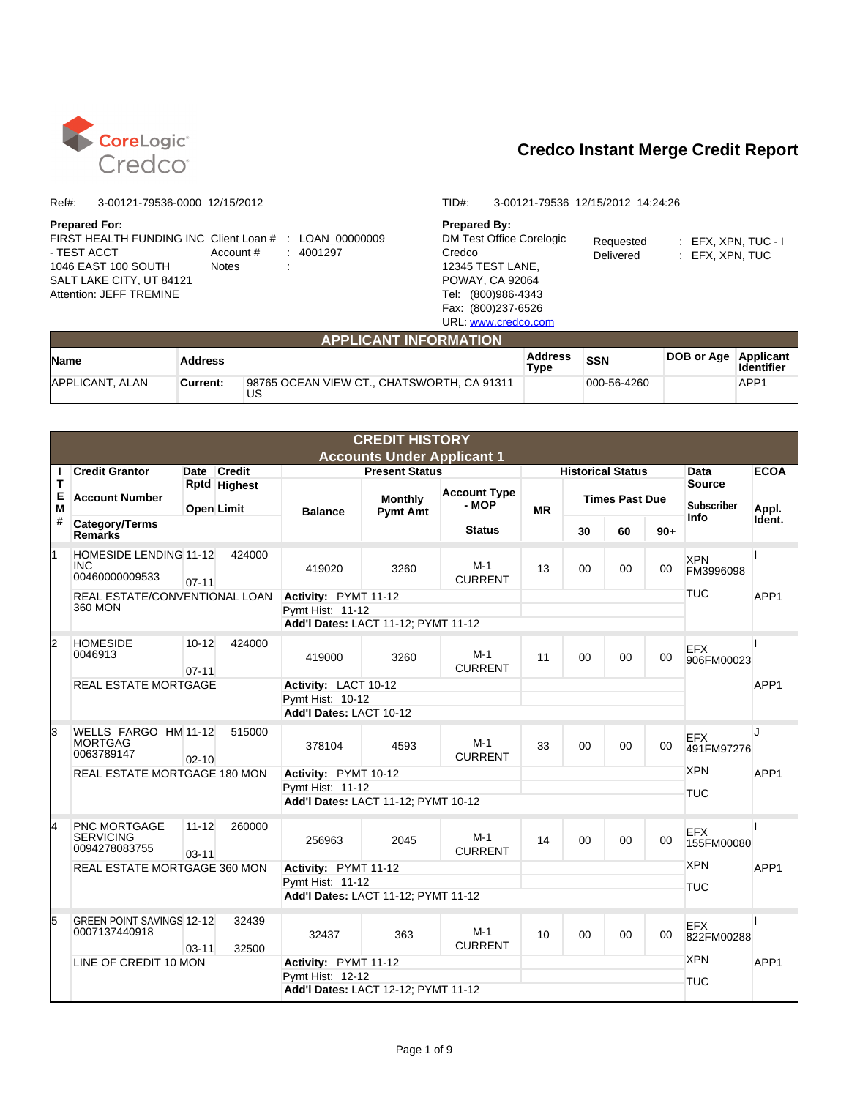

#### **Prepared For: Prepared By:**

| FIRST HEALTH FUNDING INC Client Loan # : LOAN 00000009 |                     |  |
|--------------------------------------------------------|---------------------|--|
| - TEST ACCT                                            | Account # : 4001297 |  |
| 1046 EAST 100 SOUTH                                    | <b>Notes</b>        |  |
| SALT LAKE CITY, UT 84121                               |                     |  |
| Attention: JEFF TREMINE                                |                     |  |

#### Ref#: 3-00121-79536-0000 12/15/2012 TID#: 3-00121-79536 12/15/2012 14:24:26

DM Test Office Corelogic Credco 12345 TEST LANE, POWAY, CA 92064 Tel: (800)986-4343 Fax: (800)237-6526 URL: www.credco.com

Requested : EFX, XPN, TUC - I

Delivered : EFX, XPN, TUC

|                        | <b>APPLICANT INFORMATION</b> |                                                  |                 |             |            |                                |  |  |  |  |  |  |
|------------------------|------------------------------|--------------------------------------------------|-----------------|-------------|------------|--------------------------------|--|--|--|--|--|--|
| <b>Name</b>            | <b>Address</b>               |                                                  | Address<br>Type | <b>SSN</b>  | DOB or Age | Applicant<br><b>Identifier</b> |  |  |  |  |  |  |
| <b>APPLICANT, ALAN</b> | Current:                     | 98765 OCEAN VIEW CT., CHATSWORTH, CA 91311<br>US |                 | 000-56-4260 |            | APP1                           |  |  |  |  |  |  |

|             | <b>CREDIT HISTORY</b>                                  |                        |                                          |                                                                                 |                                   |                              |           |                          |        |         |                                    |                  |
|-------------|--------------------------------------------------------|------------------------|------------------------------------------|---------------------------------------------------------------------------------|-----------------------------------|------------------------------|-----------|--------------------------|--------|---------|------------------------------------|------------------|
|             |                                                        |                        |                                          |                                                                                 | <b>Accounts Under Applicant 1</b> |                              |           |                          |        |         |                                    |                  |
| п           | <b>Credit Grantor</b>                                  |                        | Date Credit                              |                                                                                 | <b>Present Status</b>             |                              |           | <b>Historical Status</b> |        |         | Data                               | <b>ECOA</b>      |
| т<br>Е<br>M | <b>Account Number</b>                                  |                        | <b>Rptd Highest</b><br><b>Open Limit</b> | <b>Balance</b>                                                                  | <b>Monthly</b><br><b>Pymt Amt</b> | <b>Account Type</b><br>- MOP | <b>MR</b> | <b>Times Past Due</b>    |        |         | <b>Source</b><br><b>Subscriber</b> | Appl.            |
| #           | Category/Terms<br><b>Remarks</b>                       |                        |                                          |                                                                                 |                                   | <b>Status</b>                |           | 30                       | 60     | $90+$   | Info                               | Ident.           |
|             | <b>HOMESIDE LENDING 11-12</b><br>INC<br>00460000009533 | $07 - 11$              | 424000                                   | 419020                                                                          | 3260                              | M-1<br><b>CURRENT</b>        | 13        | $00 \,$                  | $00\,$ | $00 \,$ | <b>XPN</b><br>FM3996098            |                  |
|             | REAL ESTATE/CONVENTIONAL LOAN<br>360 MON               |                        |                                          | Activity: PYMT 11-12<br>Pymt Hist: 11-12<br>Add'l Dates: LACT 11-12; PYMT 11-12 |                                   |                              |           |                          |        |         | <b>TUC</b>                         | APP <sub>1</sub> |
| 2           | <b>HOMESIDE</b><br>0046913                             | $10 - 12$<br>$07 - 11$ | 424000                                   | 419000                                                                          | 3260                              | $M-1$<br><b>CURRENT</b>      | 11        | 00                       | 00     | 00      | <b>EFX</b><br>906FM00023           |                  |
|             | <b>REAL ESTATE MORTGAGE</b>                            |                        |                                          | Activity: LACT 10-12<br>Pymt Hist: 10-12<br>Add'l Dates: LACT 10-12             |                                   |                              |           |                          |        |         |                                    | APP <sub>1</sub> |
| 3           | WELLS FARGO HM 11-12<br><b>MORTGAG</b><br>0063789147   | $02 - 10$              | 515000                                   | 378104                                                                          | 4593                              | $M-1$<br><b>CURRENT</b>      | 33        | $00\,$                   | $00\,$ | $00 \,$ | <b>EFX</b><br>491FM97276           | J                |
|             | REAL ESTATE MORTGAGE 180 MON                           |                        |                                          | Activity: PYMT 10-12<br>Pymt Hist: 11-12<br>Add'l Dates: LACT 11-12; PYMT 10-12 |                                   |                              |           |                          |        |         | <b>XPN</b><br><b>TUC</b>           | APP1             |
| 4           | PNC MORTGAGE<br><b>SERVICING</b><br>0094278083755      | $11 - 12$<br>$03 - 11$ | 260000                                   | 256963                                                                          | 2045                              | $M-1$<br><b>CURRENT</b>      | 14        | $00\,$                   | $00\,$ | $00 \,$ | <b>EFX</b><br>155FM00080           |                  |
|             | REAL ESTATE MORTGAGE 360 MON                           |                        |                                          | Activity: PYMT 11-12<br>Pymt Hist: 11-12<br>Add'l Dates: LACT 11-12; PYMT 11-12 |                                   |                              |           |                          |        |         | <b>XPN</b><br><b>TUC</b>           | APP <sub>1</sub> |
| 5           | <b>GREEN POINT SAVINGS 12-12</b><br>0007137440918      | $03 - 11$              | 32439<br>32500                           | 32437                                                                           | 363                               | $M-1$<br><b>CURRENT</b>      | 10        | $00\,$                   | $00\,$ | 00      | <b>EFX</b><br>822FM00288           |                  |
|             | LINE OF CREDIT 10 MON                                  |                        |                                          | Activity: PYMT 11-12<br>Pymt Hist: 12-12<br>Add'l Dates: LACT 12-12; PYMT 11-12 |                                   |                              |           |                          |        |         | <b>XPN</b><br><b>TUC</b>           | APP1             |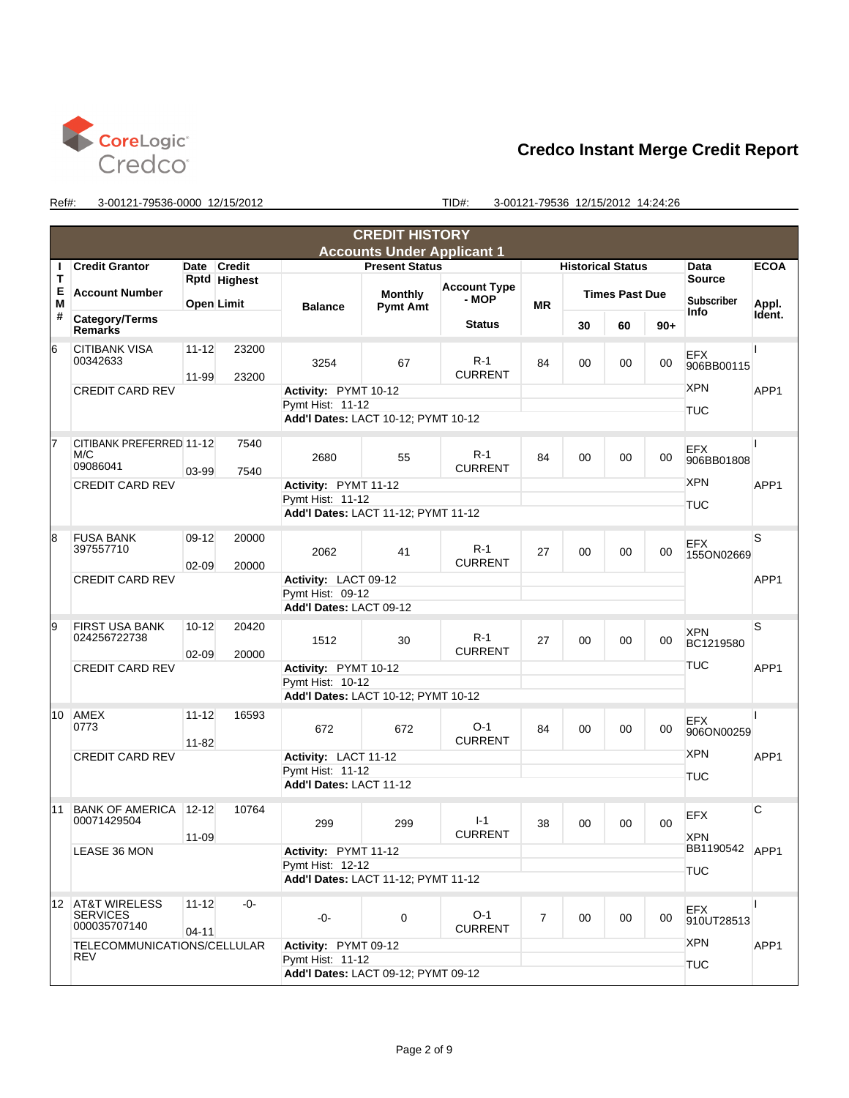

|                 |                                                             |                        |                                                                                 |                                                                                 | <b>CREDIT HISTORY</b>                    |                         |                |                                  |                       |        |                                            |             |
|-----------------|-------------------------------------------------------------|------------------------|---------------------------------------------------------------------------------|---------------------------------------------------------------------------------|------------------------------------------|-------------------------|----------------|----------------------------------|-----------------------|--------|--------------------------------------------|-------------|
|                 |                                                             |                        |                                                                                 |                                                                                 | <b>Accounts Under Applicant 1</b>        |                         |                |                                  |                       |        |                                            |             |
| н               | <b>Credit Grantor</b>                                       |                        | Date Credit                                                                     |                                                                                 | <b>Present Status</b>                    |                         |                | <b>Historical Status</b>         |                       |        | Data                                       | <b>ECOA</b> |
| т               |                                                             |                        | Rptd Highest                                                                    |                                                                                 |                                          | <b>Account Type</b>     |                |                                  |                       |        | <b>Source</b>                              |             |
| Е<br>Μ          | <b>Account Number</b>                                       |                        | <b>Open Limit</b>                                                               | <b>Balance</b>                                                                  | <b>Monthly</b><br><b>Pymt Amt</b>        | - MOP                   | <b>MR</b>      |                                  | <b>Times Past Due</b> |        | <b>Subscriber</b>                          | Appl.       |
| #               | Category/Terms<br><b>Remarks</b>                            |                        |                                                                                 |                                                                                 |                                          | <b>Status</b>           |                | 30                               | 60                    | $90+$  | Info                                       | Ident.      |
| 16              | <b>CITIBANK VISA</b><br>00342633                            | $11 - 12$<br>11-99     | 23200<br>23200                                                                  | 3254                                                                            | 67                                       | $R-1$<br><b>CURRENT</b> | 84             | 00                               | 00                    | 00     | <b>EFX</b><br>906BB00115                   |             |
|                 | <b>CREDIT CARD REV</b>                                      |                        |                                                                                 | Activity: PYMT 10-12<br>Pymt Hist: 11-12<br>Add'l Dates: LACT 10-12; PYMT 10-12 |                                          |                         |                |                                  |                       |        | <b>XPN</b><br><b>TUC</b>                   | APP1        |
|                 |                                                             |                        |                                                                                 |                                                                                 |                                          |                         |                |                                  |                       |        |                                            |             |
| 17              | CITIBANK PREFERRED 11-12<br>M/C<br>09086041                 | $03 - 99$              | 7540<br>7540                                                                    | 2680                                                                            | 55                                       | $R-1$<br><b>CURRENT</b> | 84             | 00                               | 00                    | 00     | <b>EFX</b><br>906BB01808                   |             |
|                 | <b>CREDIT CARD REV</b>                                      |                        |                                                                                 | Activity: PYMT 11-12<br>Pymt Hist: 11-12                                        |                                          |                         |                |                                  |                       |        | <b>XPN</b><br>TUC                          | APP1        |
|                 |                                                             |                        |                                                                                 | Add'l Dates: LACT 11-12; PYMT 11-12                                             |                                          |                         |                |                                  |                       |        |                                            |             |
| 18              | <b>FUSA BANK</b><br>397557710                               | $09-12$<br>$02 - 09$   | 20000<br>20000                                                                  | 2062                                                                            | 41                                       | $R-1$<br><b>CURRENT</b> | 27             | 00                               | 00                    | 00     | <b>EFX</b><br>155ON02669                   | S           |
|                 | <b>CREDIT CARD REV</b>                                      |                        |                                                                                 | Activity: LACT 09-12<br>Pymt Hist: 09-12                                        |                                          |                         |                |                                  |                       |        |                                            | APP1        |
|                 |                                                             |                        |                                                                                 |                                                                                 | Add'l Dates: LACT 09-12                  |                         |                |                                  |                       |        |                                            |             |
| 19              | <b>FIRST USA BANK</b><br>024256722738                       | $10 - 12$              | 20420<br>20000                                                                  | 1512                                                                            | 30                                       | $R-1$<br><b>CURRENT</b> | 27             | 00                               | 00                    | 00     | <b>XPN</b><br>BC1219580                    | S           |
|                 | <b>CREDIT CARD REV</b>                                      | $02 - 09$              |                                                                                 | Activity: PYMT 10-12                                                            |                                          |                         |                |                                  |                       |        | <b>TUC</b>                                 | APP1        |
|                 |                                                             |                        |                                                                                 | Pymt Hist: 10-12                                                                |                                          |                         |                |                                  |                       |        |                                            |             |
|                 |                                                             |                        |                                                                                 | Add'l Dates: LACT 10-12; PYMT 10-12                                             |                                          |                         |                |                                  |                       |        |                                            |             |
| 10              | AMEX<br>0773                                                | $11 - 12$<br>$11 - 82$ | 16593                                                                           | 672                                                                             | 672                                      | $O-1$<br><b>CURRENT</b> | 84             | 00                               | 00                    | 00     | <b>EFX</b><br>906ON00259                   |             |
|                 | <b>CREDIT CARD REV</b>                                      |                        |                                                                                 | Activity: LACT 11-12<br>Pvmt Hist: 11-12<br>Add'l Dates: LACT 11-12             |                                          |                         |                |                                  |                       |        | <b>XPN</b><br><b>TUC</b>                   | APP1        |
|                 |                                                             |                        |                                                                                 |                                                                                 |                                          |                         |                |                                  |                       |        |                                            |             |
| 11              | BANK OF AMERICA 12-12<br>00071429504                        | $11 - 09$              | 10764                                                                           | 299                                                                             | 299                                      | $I-1$<br><b>CURRENT</b> | 38             | 00                               | 00                    | $00\,$ | EFX                                        | C           |
|                 | LEASE 36 MON                                                |                        |                                                                                 |                                                                                 | Activity: PYMT 11-12<br>Pymt Hist: 12-12 |                         |                |                                  |                       |        | <b>XPN</b><br>BB1190542 APP1<br><b>TUC</b> |             |
|                 |                                                             |                        |                                                                                 | Add'l Dates: LACT 11-12; PYMT 11-12                                             |                                          |                         |                |                                  |                       |        |                                            |             |
| 12 <sup>1</sup> | <b>AT&amp;T WIRELESS</b><br><b>SERVICES</b><br>000035707140 | $11 - 12$              | -0-                                                                             | -0-                                                                             | 0                                        | $O-1$<br><b>CURRENT</b> | $\overline{7}$ | 00                               | $00\,$                | 00     | <b>EFX</b><br>910UT28513                   |             |
|                 | $04 - 11$<br>TELECOMMUNICATIONS/CELLULAR<br>REV             |                        | Activity: PYMT 09-12<br>Pymt Hist: 11-12<br>Add'l Dates: LACT 09-12; PYMT 09-12 |                                                                                 |                                          |                         |                | <b>XPN</b><br>APP1<br><b>TUC</b> |                       |        |                                            |             |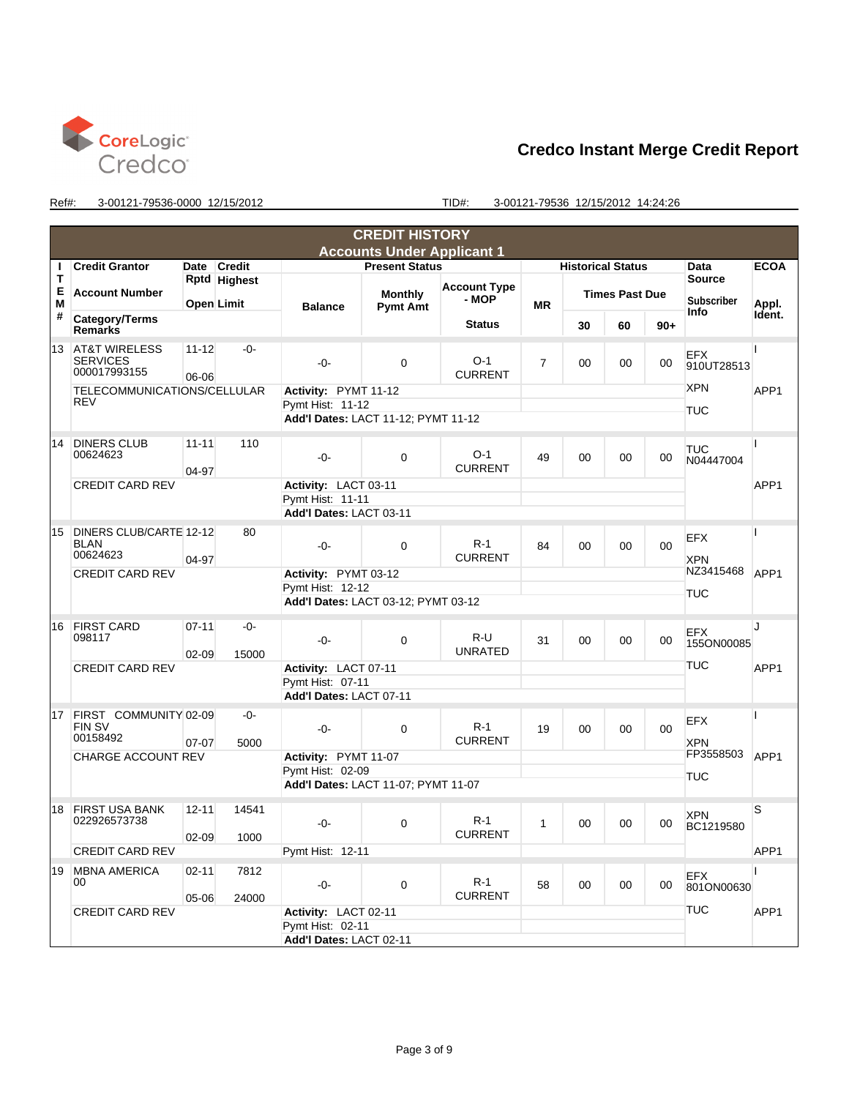

|             |                                                             |                        |                                          |                                                                     | <b>CREDIT HISTORY</b>               |                              |                |                          |                       |        |                                    |                  |  |  |
|-------------|-------------------------------------------------------------|------------------------|------------------------------------------|---------------------------------------------------------------------|-------------------------------------|------------------------------|----------------|--------------------------|-----------------------|--------|------------------------------------|------------------|--|--|
|             |                                                             |                        |                                          |                                                                     | <b>Accounts Under Applicant 1</b>   |                              |                |                          |                       |        |                                    |                  |  |  |
| т           | <b>Credit Grantor</b>                                       |                        | Date Credit                              |                                                                     | <b>Present Status</b>               |                              |                | <b>Historical Status</b> |                       |        | Data                               | <b>ECOA</b>      |  |  |
| т<br>Е<br>M | <b>Account Number</b>                                       |                        | <b>Rptd Highest</b><br><b>Open Limit</b> | <b>Balance</b>                                                      | <b>Monthly</b><br><b>Pymt Amt</b>   | <b>Account Type</b><br>- MOP | <b>MR</b>      |                          | <b>Times Past Due</b> |        | <b>Source</b><br><b>Subscriber</b> | Appl.            |  |  |
| #           | Category/Terms<br><b>Remarks</b>                            |                        |                                          |                                                                     |                                     | <b>Status</b>                |                | 30                       | 60                    | $90+$  | Info                               | Ident.           |  |  |
| 13          | <b>AT&amp;T WIRELESS</b><br><b>SERVICES</b><br>000017993155 | $11 - 12$<br>06-06     | $-0-$                                    | $-0-$                                                               | $\mathbf 0$                         | $O-1$<br><b>CURRENT</b>      | $\overline{7}$ | 00                       | 00                    | 00     | <b>EFX</b><br>910UT28513           |                  |  |  |
|             | TELECOMMUNICATIONS/CELLULAR<br><b>REV</b>                   |                        |                                          | Activity: PYMT 11-12<br>Pymt Hist: 11-12                            | Add'l Dates: LACT 11-12; PYMT 11-12 |                              |                |                          |                       |        | <b>XPN</b><br><b>TUC</b>           | APP1             |  |  |
| 14          | <b>DINERS CLUB</b><br>00624623                              | $11 - 11$<br>04-97     | 110                                      | $-0-$                                                               | $\mathbf 0$                         | $O-1$<br><b>CURRENT</b>      | 49             | 00                       | 00                    | 00     | TUC<br>N04447004                   |                  |  |  |
|             | <b>CREDIT CARD REV</b>                                      |                        |                                          | Activity: LACT 03-11<br>Pymt Hist: 11-11<br>Add'l Dates: LACT 03-11 |                                     |                              |                |                          |                       |        | APP1                               |                  |  |  |
| 15          | DINERS CLUB/CARTE 12-12<br><b>BLAN</b><br>00624623          | 04-97                  | 80                                       | $-0-$                                                               | $\Omega$                            | $R-1$<br><b>CURRENT</b>      | 84             | 00                       | 00                    | $00\,$ | <b>EFX</b><br><b>XPN</b>           |                  |  |  |
|             | <b>CREDIT CARD REV</b>                                      |                        |                                          | Activity: PYMT 03-12<br>Pymt Hist: 12-12                            | Add'l Dates: LACT 03-12; PYMT 03-12 |                              |                |                          |                       |        | NZ3415468<br><b>TUC</b>            | APP <sub>1</sub> |  |  |
| 16          | <b>FIRST CARD</b><br>098117                                 | $07 - 11$<br>$02 - 09$ | $-0-$<br>15000                           | $-0-$                                                               | $\Omega$                            | $R-U$<br><b>UNRATED</b>      | 31             | 00                       | 00                    | 00     | EFX<br>155ON00085                  | J                |  |  |
|             | <b>CREDIT CARD REV</b>                                      |                        |                                          | Activity: LACT 07-11<br>Pymt Hist: 07-11<br>Add'l Dates: LACT 07-11 |                                     |                              |                |                          |                       |        | <b>TUC</b>                         | APP <sub>1</sub> |  |  |
| 17          | FIRST COMMUNITY 02-09<br><b>FIN SV</b><br>00158492          | $07-07$                | $-0-$<br>5000                            | $-0-$                                                               | $\mathbf 0$                         | $R-1$<br><b>CURRENT</b>      | 19             | 00                       | 00                    | 00     | <b>EFX</b><br><b>XPN</b>           |                  |  |  |
|             | CHARGE ACCOUNT REV                                          |                        |                                          | Activity: PYMT 11-07<br>Pymt Hist: 02-09                            | Add'l Dates: LACT 11-07; PYMT 11-07 |                              |                |                          |                       |        | FP3558503<br><b>TUC</b>            | APP <sub>1</sub> |  |  |
| 18          | <b>FIRST USA BANK</b><br>022926573738                       | $12 - 11$<br>$02 - 09$ | 14541<br>1000                            | $-0-$                                                               | $\Omega$                            | $R-1$<br><b>CURRENT</b>      | $\mathbf{1}$   | 00                       | 00                    | $00\,$ | <b>XPN</b><br>BC1219580            | S                |  |  |
|             | <b>CREDIT CARD REV</b>                                      |                        |                                          | Pymt Hist: 12-11                                                    |                                     |                              |                |                          |                       |        |                                    | APP1             |  |  |
| 19          | <b>MBNA AMERICA</b><br>00                                   | $02 - 11$<br>05-06     | 7812<br>24000                            | $-0-$                                                               | $\mathbf{0}$                        | $R-1$<br><b>CURRENT</b>      | 58             | 00                       | 00                    | 00     | <b>EFX</b><br>801ON00630           |                  |  |  |
|             | <b>CREDIT CARD REV</b>                                      |                        |                                          | Activity: LACT 02-11<br>Pymt Hist: 02-11<br>Add'l Dates: LACT 02-11 |                                     |                              |                | <b>TUC</b><br>APP1       |                       |        |                                    |                  |  |  |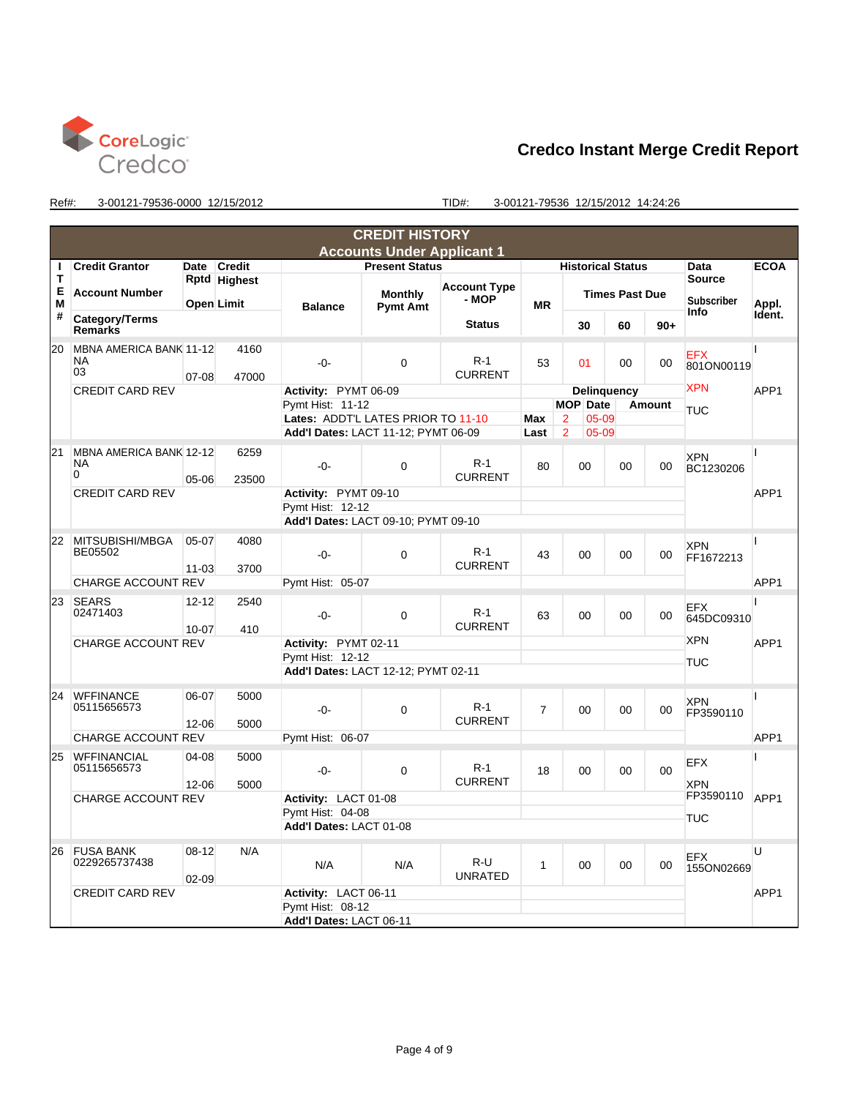

|        |                                           |                        |                                             |                                     | <b>CREDIT HISTORY</b>               |                              |                |                 |                          |    |               |                                    |                  |  |
|--------|-------------------------------------------|------------------------|---------------------------------------------|-------------------------------------|-------------------------------------|------------------------------|----------------|-----------------|--------------------------|----|---------------|------------------------------------|------------------|--|
|        |                                           |                        |                                             |                                     | <b>Accounts Under Applicant 1</b>   |                              |                |                 |                          |    |               |                                    |                  |  |
| п      | <b>Credit Grantor</b>                     | Date                   | <b>Credit</b>                               |                                     | <b>Present Status</b>               |                              |                |                 | <b>Historical Status</b> |    |               | Data                               | <b>ECOA</b>      |  |
| т<br>Е | <b>Account Number</b>                     |                        | Rptd Highest<br>Open Limit                  |                                     | <b>Monthly</b>                      | <b>Account Type</b><br>- MOP |                |                 | <b>Times Past Due</b>    |    |               | <b>Source</b><br><b>Subscriber</b> |                  |  |
| M<br># | Category/Terms                            |                        |                                             | <b>Balance</b>                      | <b>Pymt Amt</b>                     | <b>Status</b>                | <b>MR</b>      |                 |                          |    |               | Info                               | Appl.<br>Ident.  |  |
|        | <b>Remarks</b>                            |                        |                                             |                                     |                                     |                              |                |                 | 30                       | 60 | $90+$         |                                    |                  |  |
| 20     | MBNA AMERICA BANK 11-12<br>NA<br>03       | $07 - 08$              | 4160<br>47000                               | $-0-$                               | $\Omega$                            | $R-1$<br><b>CURRENT</b>      | 53             |                 | 01                       | 00 | 00            | <b>EFX</b><br>801ON00119           |                  |  |
|        | <b>CREDIT CARD REV</b>                    |                        |                                             | Activity: PYMT 06-09                |                                     |                              |                |                 | Delinguency              |    |               | <b>XPN</b>                         | APP1             |  |
|        |                                           |                        |                                             | Pymt Hist: 11-12                    |                                     |                              |                | <b>MOP Date</b> |                          |    | <b>Amount</b> | TUC                                |                  |  |
|        |                                           |                        |                                             | Lates: ADDT'L LATES PRIOR TO 11-10  |                                     |                              |                | 2               | $05 - 09$                |    |               |                                    |                  |  |
|        |                                           |                        |                                             |                                     | Add'l Dates: LACT 11-12; PYMT 06-09 |                              | Last           | $\overline{2}$  | $05 - 09$                |    |               |                                    |                  |  |
| 21     | MBNA AMERICA BANK 12-12<br>NA<br>$\Omega$ | $05 - 06$              | 6259<br>23500                               | $-0-$                               | $\Omega$                            | $R-1$<br><b>CURRENT</b>      | 80             |                 | 00                       | 00 | 00            | <b>XPN</b><br>BC1230206            |                  |  |
|        | <b>CREDIT CARD REV</b>                    |                        |                                             | Activity: PYMT 09-10                |                                     |                              |                |                 |                          |    |               |                                    | APP <sub>1</sub> |  |
|        |                                           |                        |                                             | Pymt Hist: 12-12                    |                                     |                              |                |                 |                          |    |               |                                    |                  |  |
|        |                                           |                        |                                             |                                     | Add'l Dates: LACT 09-10; PYMT 09-10 |                              |                |                 |                          |    |               |                                    |                  |  |
| 22     | MITSUBISHI/MBGA<br>BE05502                | $05-07$<br>$11 - 03$   | 4080<br>3700                                | $-0-$                               | $\Omega$                            | $R-1$<br><b>CURRENT</b>      | 43             |                 | 00                       | 00 | 00            | XPN<br>FF1672213                   |                  |  |
|        | <b>CHARGE ACCOUNT REV</b>                 |                        |                                             | Pymt Hist: 05-07                    |                                     |                              |                |                 |                          |    |               |                                    | APP <sub>1</sub> |  |
|        |                                           |                        |                                             |                                     |                                     |                              |                |                 |                          |    |               |                                    |                  |  |
| 23     | <b>SEARS</b><br>02471403                  | $12 - 12$<br>$10 - 07$ | 2540<br>410                                 | $-0-$                               | $\overline{0}$                      | $R-1$<br><b>CURRENT</b>      | 63             |                 | 00                       | 00 | 00            | EFX<br>645DC09310                  |                  |  |
|        | <b>CHARGE ACCOUNT REV</b>                 |                        |                                             |                                     | Activity: PYMT 02-11                |                              |                |                 |                          |    |               | <b>XPN</b>                         | APP1             |  |
|        |                                           |                        |                                             | Pvmt Hist: 12-12                    |                                     |                              |                |                 |                          |    |               | TUC                                |                  |  |
|        |                                           |                        |                                             | Add'l Dates: LACT 12-12; PYMT 02-11 |                                     |                              |                |                 |                          |    |               |                                    |                  |  |
| 24     | <b>WFFINANCE</b><br>05115656573           | 06-07<br>$12 - 06$     | 5000<br>5000                                | $-0-$                               | 0                                   | $R-1$<br><b>CURRENT</b>      | $\overline{7}$ |                 | 00                       | 00 | 00            | <b>XPN</b><br>FP3590110            |                  |  |
|        | CHARGE ACCOUNT REV                        |                        |                                             | Pymt Hist: 06-07                    |                                     |                              |                |                 |                          |    |               |                                    | APP <sub>1</sub> |  |
| 25     | <b>WFFINANCIAL</b><br>05115656573         | 04-08<br>$12 - 06$     | 5000<br>5000                                | $-0-$                               | 0                                   | $R-1$<br><b>CURRENT</b>      | 18             |                 | 00                       | 00 | 00            | <b>EFX</b><br><b>XPN</b>           |                  |  |
|        | CHARGE ACCOUNT REV                        |                        |                                             | Activity: LACT 01-08                |                                     |                              |                |                 |                          |    |               | FP3590110                          | APP <sub>1</sub> |  |
|        |                                           |                        |                                             | Pymt Hist: 04-08                    |                                     |                              |                |                 |                          |    |               | TUC                                |                  |  |
|        |                                           |                        |                                             | Add'l Dates: LACT 01-08             |                                     |                              |                |                 |                          |    |               |                                    |                  |  |
| 26     | <b>FUSA BANK</b><br>0229265737438         | $08 - 12$<br>$02 - 09$ | N/A                                         | N/A                                 | N/A                                 | R-U<br><b>UNRATED</b>        | 1              |                 | 00                       | 00 | 00            | U<br><b>EFX</b><br>155ON02669      |                  |  |
|        | <b>CREDIT CARD REV</b>                    |                        | Activity: LACT 06-11                        |                                     |                                     |                              |                |                 | APP1                     |    |               |                                    |                  |  |
|        |                                           |                        | Pymt Hist: 08-12<br>Add'l Dates: LACT 06-11 |                                     |                                     |                              |                |                 |                          |    |               |                                    |                  |  |
|        |                                           |                        |                                             |                                     |                                     |                              |                |                 |                          |    |               |                                    |                  |  |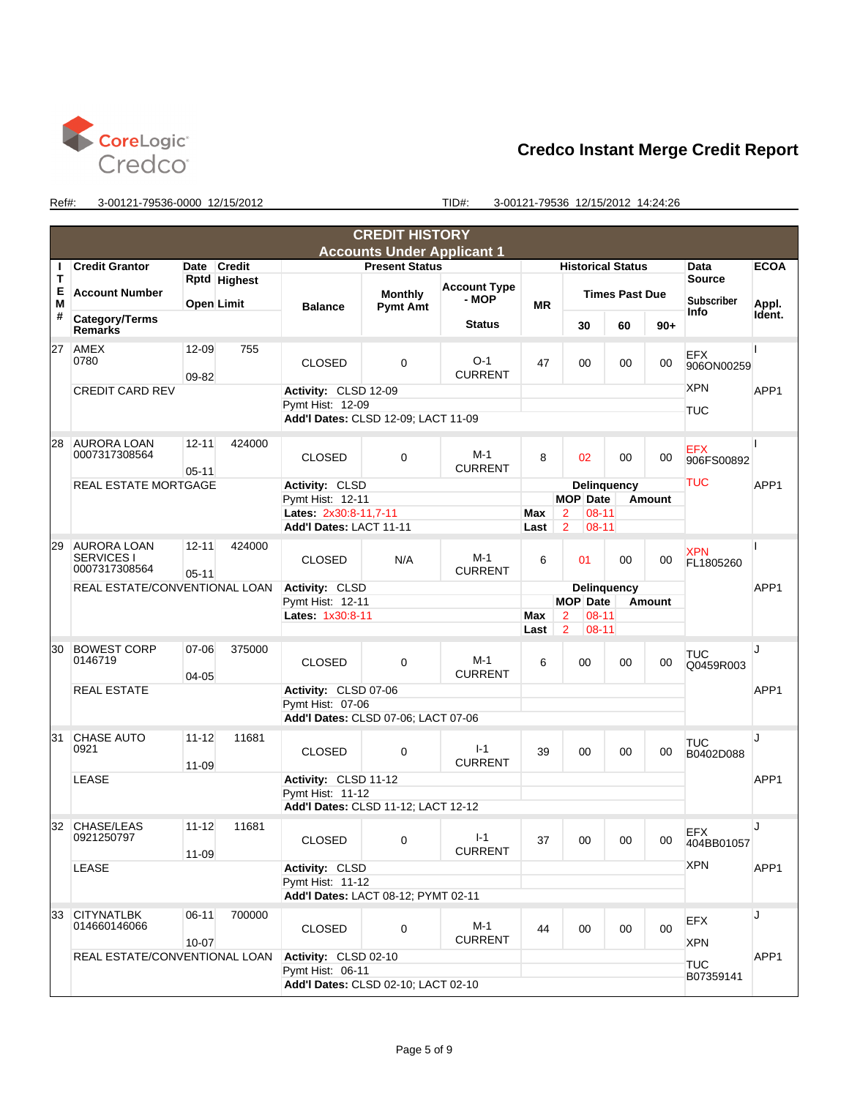

|        |                                                          |                        |                   |                                                                                 | <b>CREDIT HISTORY</b>             |                                     |             |                                                            |                         |               |                          |                  |
|--------|----------------------------------------------------------|------------------------|-------------------|---------------------------------------------------------------------------------|-----------------------------------|-------------------------------------|-------------|------------------------------------------------------------|-------------------------|---------------|--------------------------|------------------|
|        |                                                          |                        |                   |                                                                                 | <b>Accounts Under Applicant 1</b> |                                     |             |                                                            |                         |               |                          |                  |
| ı      | <b>Credit Grantor</b>                                    | Date                   | <b>Credit</b>     |                                                                                 | <b>Present Status</b>             |                                     |             | <b>Historical Status</b>                                   |                         |               | Data                     | <b>ECOA</b>      |
| Т<br>Е |                                                          |                        | Rptd Highest      |                                                                                 |                                   | <b>Account Type</b>                 |             |                                                            |                         |               | <b>Source</b>            |                  |
| Μ      | <b>Account Number</b>                                    |                        | <b>Open Limit</b> | <b>Balance</b>                                                                  | <b>Monthly</b><br><b>Pymt Amt</b> | - MOP                               | <b>MR</b>   |                                                            | <b>Times Past Due</b>   |               | <b>Subscriber</b>        | Appl.            |
| #      | Category/Terms<br><b>Remarks</b>                         |                        |                   |                                                                                 |                                   | <b>Status</b>                       |             | 30                                                         | 60                      | $90+$         | Info                     | Ident.           |
| 27     | AMEX<br>0780                                             | 12-09<br>09-82         | 755               | <b>CLOSED</b>                                                                   | $\Omega$                          | $O-1$<br><b>CURRENT</b>             | 47          | 00                                                         | 00                      | 00            | EFX<br>906ON00259        |                  |
|        | <b>CREDIT CARD REV</b>                                   |                        |                   | Activity: CLSD 12-09<br>Pymt Hist: 12-09<br>Add'l Dates: CLSD 12-09: LACT 11-09 |                                   |                                     |             |                                                            |                         |               | <b>XPN</b><br>TUC        | APP1             |
| 28     | <b>AURORA LOAN</b><br>0007317308564                      | $12 - 11$<br>$05 - 11$ | 424000            | <b>CLOSED</b>                                                                   | $\mathbf 0$                       | $M-1$<br><b>CURRENT</b>             | 8           | 02                                                         | 00                      | 00            | EFX<br>906FS00892        |                  |
|        | <b>REAL ESTATE MORTGAGE</b>                              |                        | Activity: CLSD    |                                                                                 |                                   |                                     | Delinquency |                                                            |                         | TUC           | APP <sub>1</sub>         |                  |
|        |                                                          |                        |                   | Pymt Hist: 12-11                                                                |                                   |                                     |             | <b>MOP</b> Date                                            | Amount                  |               |                          |                  |
|        |                                                          |                        |                   | Lates: 2x30:8-11,7-11<br>Add'l Dates: LACT 11-11                                |                                   |                                     | Max<br>Last | $08 - 11$<br>$\overline{2}$<br>$\overline{2}$<br>$08 - 11$ |                         |               |                          |                  |
| 29     | <b>AURORA LOAN</b><br><b>SERVICES I</b><br>0007317308564 | $12 - 11$<br>$05 - 11$ | 424000            | <b>CLOSED</b>                                                                   | N/A                               | $M-1$<br><b>CURRENT</b>             | 6           | 01                                                         | 00                      | 00            | XPN<br>FL1805260         |                  |
|        | REAL ESTATE/CONVENTIONAL LOAN                            |                        |                   | Activity: CLSD                                                                  |                                   |                                     |             | Delinquency                                                |                         |               |                          | APP1             |
|        |                                                          |                        |                   | Pymt Hist: 12-11                                                                |                                   |                                     |             | <b>MOP</b> Date                                            |                         | <b>Amount</b> |                          |                  |
|        |                                                          |                        |                   | Lates: 1x30:8-11                                                                |                                   |                                     |             | $\overline{2}$<br>$08 - 11$                                |                         |               |                          |                  |
|        |                                                          |                        |                   |                                                                                 |                                   |                                     | Last        | $\overline{2}$<br>$08-11$                                  |                         |               |                          |                  |
| 30     | <b>BOWEST CORP</b><br>0146719                            | 07-06<br>04-05         | 375000            | <b>CLOSED</b>                                                                   | $\Omega$                          | $M-1$<br><b>CURRENT</b>             | 6           | 00                                                         | 00                      | 00            | TUC<br>Q0459R003         | IJ               |
|        | <b>REAL ESTATE</b>                                       |                        |                   |                                                                                 | Activity: CLSD 07-06              |                                     |             |                                                            |                         |               |                          | APP <sub>1</sub> |
|        |                                                          |                        |                   | Pymt Hist: 07-06                                                                |                                   |                                     |             |                                                            |                         |               |                          |                  |
|        |                                                          |                        |                   | Add'l Dates: CLSD 07-06; LACT 07-06                                             |                                   |                                     |             |                                                            |                         |               |                          |                  |
| 31     | <b>CHASE AUTO</b><br>0921                                | $11 - 12$<br>11-09     | 11681             | <b>CLOSED</b>                                                                   | $\mathbf 0$                       | $I-1$<br><b>CURRENT</b>             | 39          | 00                                                         | 00                      | 00            | TUC<br>B0402D088         | J                |
|        | <b>LEASE</b>                                             |                        |                   | Activity: CLSD 11-12                                                            |                                   |                                     |             |                                                            |                         |               |                          | APP1             |
|        |                                                          |                        |                   | Pymt Hist: 11-12                                                                |                                   |                                     |             |                                                            |                         |               |                          |                  |
|        |                                                          |                        |                   | Add'l Dates: CLSD 11-12; LACT 12-12                                             |                                   |                                     |             |                                                            |                         |               |                          |                  |
| 32     | CHASE/LEAS<br>0921250797                                 | $11 - 12$<br>$11 - 09$ | 11681             | <b>CLOSED</b>                                                                   | $\mathbf 0$                       | $I-1$<br><b>CURRENT</b>             | 37          | 00                                                         | 00                      | 00            | EFX<br>404BB01057        | J                |
|        | LEASE                                                    |                        |                   | Activity: CLSD                                                                  |                                   |                                     |             |                                                            |                         |               | <b>XPN</b>               | APP1             |
|        |                                                          |                        |                   | Pymt Hist: 11-12                                                                |                                   |                                     |             |                                                            |                         |               |                          |                  |
|        |                                                          |                        |                   | Add'l Dates: LACT 08-12; PYMT 02-11                                             |                                   |                                     |             |                                                            |                         |               |                          |                  |
| 33     | <b>CITYNATLBK</b><br>014660146066                        | $06-11$<br>$10 - 07$   | 700000            | <b>CLOSED</b>                                                                   | 0                                 | M-1<br><b>CURRENT</b>               | 44          | 00                                                         | 00                      | 00            | <b>EFX</b><br><b>XPN</b> | J                |
|        | REAL ESTATE/CONVENTIONAL LOAN                            |                        |                   | Activity: CLSD 02-10                                                            |                                   |                                     |             |                                                            |                         |               |                          | APP <sub>1</sub> |
|        |                                                          |                        |                   | Pymt Hist: 06-11                                                                |                                   |                                     |             |                                                            | <b>TUC</b><br>B07359141 |               |                          |                  |
|        |                                                          |                        |                   |                                                                                 |                                   | Add'l Dates: CLSD 02-10; LACT 02-10 |             |                                                            |                         |               |                          |                  |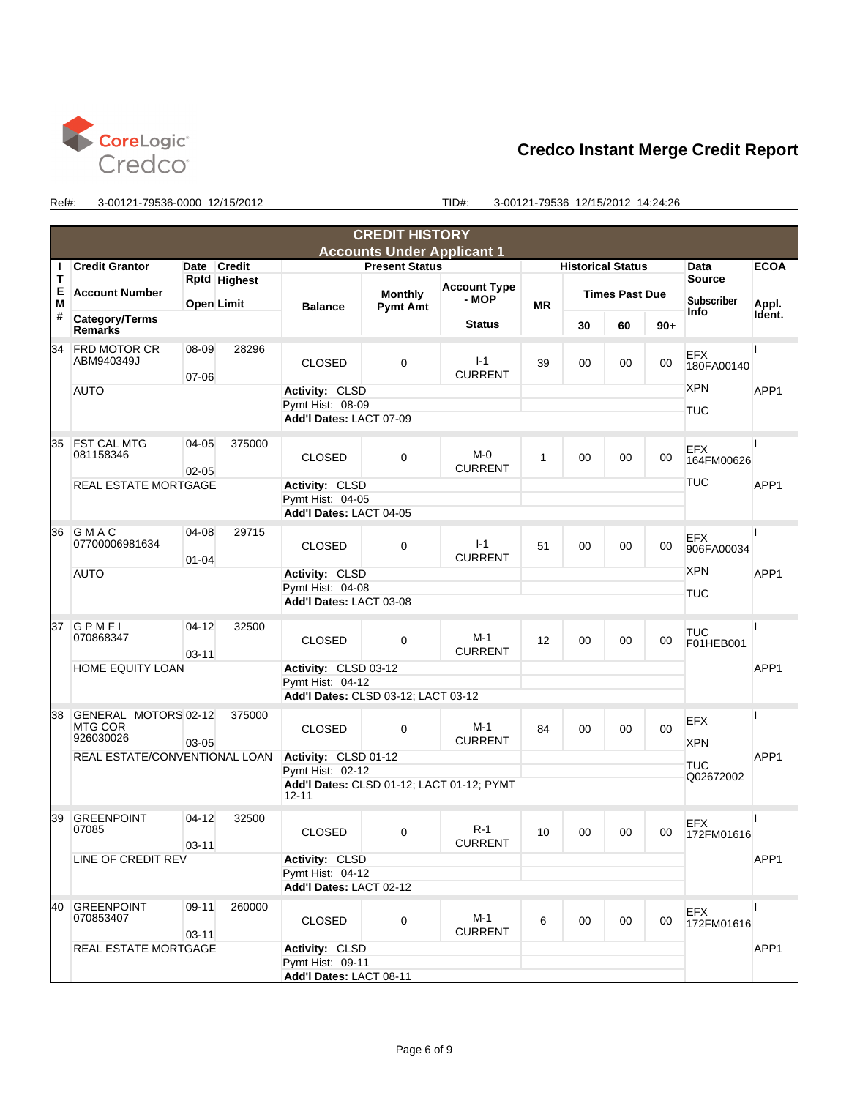

|        |                                                     |                        |                                                               |                                                                                 | <b>CREDIT HISTORY</b>             |                                           |    |                          |                          |       |                                      |             |  |
|--------|-----------------------------------------------------|------------------------|---------------------------------------------------------------|---------------------------------------------------------------------------------|-----------------------------------|-------------------------------------------|----|--------------------------|--------------------------|-------|--------------------------------------|-------------|--|
|        |                                                     |                        |                                                               |                                                                                 | <b>Accounts Under Applicant 1</b> |                                           |    |                          |                          |       |                                      |             |  |
| ı      | <b>Credit Grantor</b>                               | Date                   | <b>Credit</b>                                                 |                                                                                 | <b>Present Status</b>             |                                           |    | <b>Historical Status</b> |                          |       | Data                                 | <b>ECOA</b> |  |
| т<br>Е |                                                     | Rptd Highest           |                                                               |                                                                                 |                                   | <b>Account Type</b>                       |    | <b>Times Past Due</b>    |                          |       | <b>Source</b>                        |             |  |
| Μ      | <b>Account Number</b>                               |                        | <b>Open Limit</b>                                             | <b>Balance</b>                                                                  | <b>Monthly</b><br><b>Pymt Amt</b> | - MOP                                     | ΜR |                          |                          |       | <b>Subscriber</b>                    | Appl.       |  |
| #      | Category/Terms<br><b>Remarks</b>                    |                        |                                                               |                                                                                 |                                   | <b>Status</b>                             |    | 30                       | 60                       | $90+$ | Info                                 | Ident.      |  |
| 34     | <b>FRD MOTOR CR</b><br>ABM940349J                   | 08-09<br>07-06         | 28296                                                         | <b>CLOSED</b>                                                                   | $\Omega$                          | $I-1$<br><b>CURRENT</b>                   | 39 | 00                       | 00                       | 00    | EFX<br>180FA00140                    |             |  |
|        | <b>AUTO</b>                                         |                        |                                                               | Activity: CLSD<br>Pymt Hist: 08-09<br>Add'l Dates: LACT 07-09                   |                                   |                                           |    |                          | <b>XPN</b><br><b>TUC</b> | APP1  |                                      |             |  |
| 35     | <b>FST CAL MTG</b><br>081158346                     | $04 - 05$<br>$02 - 05$ | 375000                                                        | <b>CLOSED</b>                                                                   | $\mathbf 0$                       | $M - 0$<br><b>CURRENT</b>                 | 1  | 00                       | 00                       | 00    | <b>EFX</b><br>164FM00626<br>TUC      |             |  |
|        | <b>REAL ESTATE MORTGAGE</b>                         |                        |                                                               | Activity: CLSD<br>Pymt Hist: 04-05<br>Add'l Dates: LACT 04-05                   |                                   |                                           |    |                          |                          |       |                                      | APP1        |  |
| 36     | GMAC<br>07700006981634                              | 04-08<br>$01 - 04$     | 29715                                                         | <b>CLOSED</b>                                                                   | $\mathbf 0$                       | $I-1$<br><b>CURRENT</b>                   | 51 | 00                       | 00                       | 00    | EFX<br>906FA00034                    |             |  |
|        | <b>AUTO</b>                                         |                        |                                                               | Activity: CLSD<br>Pymt Hist: 04-08<br>Add'l Dates: LACT 03-08                   |                                   |                                           |    |                          |                          |       | <b>XPN</b><br><b>TUC</b>             | APP1        |  |
| 37     | GPMFI<br>070868347                                  | $04 - 12$<br>$03 - 11$ | 32500                                                         | <b>CLOSED</b>                                                                   | $\mathbf 0$                       | $M-1$<br><b>CURRENT</b>                   | 12 | 00                       | 00                       | 00    | <b>TUC</b><br>F01HEB001              |             |  |
|        | <b>HOME EQUITY LOAN</b>                             |                        |                                                               | Activity: CLSD 03-12<br>Pymt Hist: 04-12<br>Add'l Dates: CLSD 03-12; LACT 03-12 |                                   |                                           |    |                          |                          |       |                                      | APP1        |  |
| 38     | GENERAL MOTORS 02-12<br><b>MTG COR</b><br>926030026 | 03-05                  | 375000                                                        | <b>CLOSED</b>                                                                   | $\Omega$                          | $M-1$<br><b>CURRENT</b>                   | 84 | 00                       | 00                       | 00    | EFX<br><b>XPN</b>                    |             |  |
|        | REAL ESTATE/CONVENTIONAL LOAN                       |                        |                                                               | Activity: CLSD 01-12<br>Pymt Hist: 02-12<br>$12 - 11$                           |                                   | Add'l Dates: CLSD 01-12; LACT 01-12; PYMT |    |                          |                          |       | APP <sub>1</sub><br>TUC<br>Q02672002 |             |  |
| 39     | <b>GREENPOINT</b><br>07085                          | $04 - 12$<br>$03 - 11$ | 32500                                                         | <b>CLOSED</b>                                                                   | $\mathbf 0$                       | $R-1$<br><b>CURRENT</b>                   | 10 | 00                       | 00                       | 00    | EFX<br>172FM01616                    |             |  |
|        | LINE OF CREDIT REV                                  |                        | Activity: CLSD<br>Pymt Hist: 04-12<br>Add'l Dates: LACT 02-12 |                                                                                 |                                   |                                           |    |                          |                          |       | APP1                                 |             |  |
| 40     | <b>GREENPOINT</b><br>070853407                      | $09 - 11$<br>$03 - 11$ | 260000                                                        | <b>CLOSED</b>                                                                   | 0                                 | M-1<br><b>CURRENT</b>                     | 6  | 00                       | 00                       | 00    | <b>EFX</b><br>172FM01616             |             |  |
|        | REAL ESTATE MORTGAGE                                |                        | Activity: CLSD<br>Pymt Hist: 09-11<br>Add'l Dates: LACT 08-11 |                                                                                 |                                   |                                           |    |                          |                          |       | APP1                                 |             |  |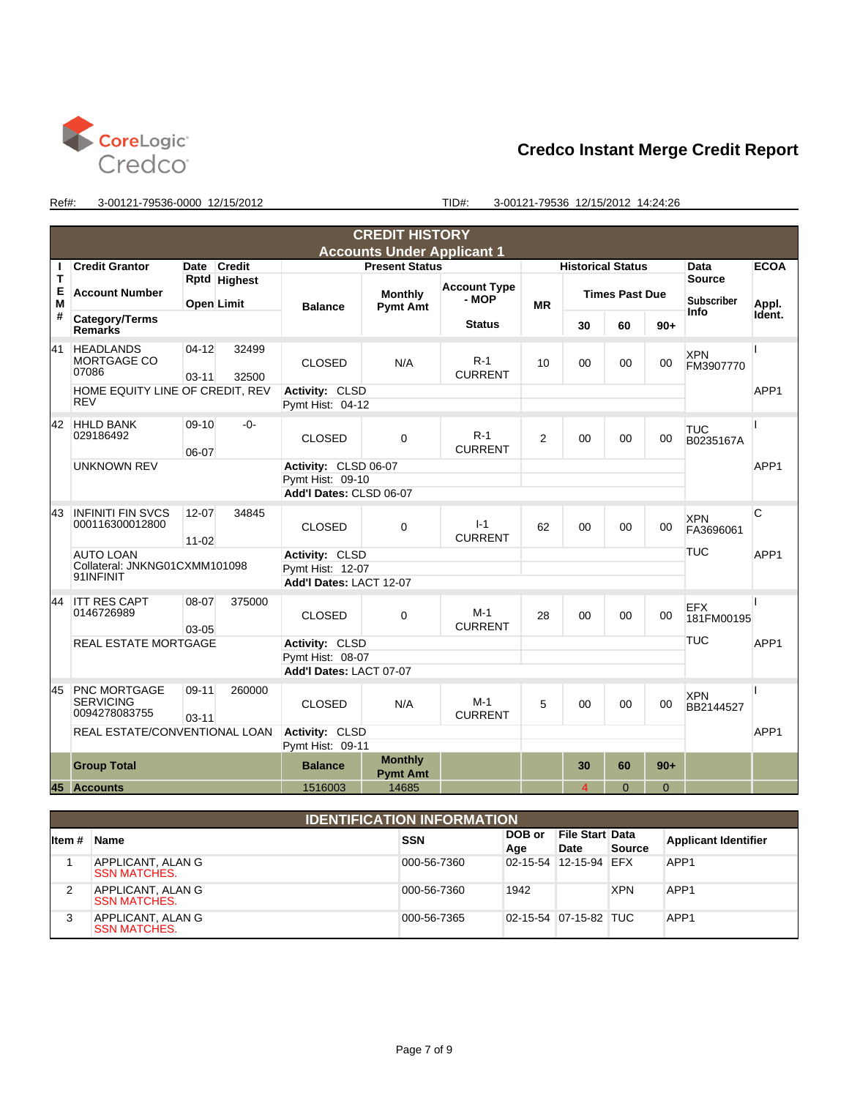

|        | <b>CREDIT HISTORY</b>                                    |                      |                   |                                          |                                   |                         |                          |                |                       |            |                          |                  |
|--------|----------------------------------------------------------|----------------------|-------------------|------------------------------------------|-----------------------------------|-------------------------|--------------------------|----------------|-----------------------|------------|--------------------------|------------------|
|        | <b>Accounts Under Applicant 1</b>                        |                      |                   |                                          |                                   |                         |                          |                |                       |            |                          |                  |
|        | <b>Credit Grantor</b>                                    |                      | Date Credit       |                                          | <b>Present Status</b>             |                         | <b>Historical Status</b> |                |                       |            | Data                     | <b>ECOA</b>      |
| T      |                                                          |                      | Rptd Highest      |                                          |                                   | <b>Account Type</b>     |                          |                |                       |            | <b>Source</b>            |                  |
| E<br>M | <b>Account Number</b>                                    |                      | <b>Open Limit</b> | <b>Balance</b>                           | <b>Monthly</b><br><b>Pymt Amt</b> | - MOP                   | <b>MR</b>                |                | <b>Times Past Due</b> |            | <b>Subscriber</b>        | Appl.            |
| #      | Category/Terms<br><b>Remarks</b>                         |                      |                   |                                          |                                   | <b>Status</b>           |                          | 30             | 60                    | $90+$      | Info                     | Ident.           |
| 41     | <b>HEADLANDS</b><br>MORTGAGE CO<br>07086                 | $04-12$<br>$03 - 11$ | 32499<br>32500    | <b>CLOSED</b>                            | N/A                               | $R-1$<br><b>CURRENT</b> | 10                       | 00             | 00                    | 00         | <b>XPN</b><br>FM3907770  |                  |
|        | HOME EQUITY LINE OF CREDIT, REV<br><b>REV</b>            |                      |                   | Activity: CLSD<br>Pvmt Hist: 04-12       |                                   |                         |                          |                |                       |            |                          | APP <sub>1</sub> |
| 42     | <b>HHLD BANK</b><br>029186492                            | $09-10$<br>06-07     | -0-               | <b>CLOSED</b>                            | $\Omega$                          | $R-1$<br><b>CURRENT</b> | $\mathfrak{p}$           | 00             | $00\,$                | $00 \,$    | <b>TUC</b><br>B0235167A  |                  |
|        | <b>UNKNOWN REV</b>                                       |                      |                   | Activity: CLSD 06-07<br>Pymt Hist: 09-10 |                                   |                         |                          |                |                       |            |                          | APP <sub>1</sub> |
|        |                                                          |                      |                   | Add'l Dates: CLSD 06-07                  |                                   |                         |                          |                |                       |            |                          |                  |
| 43     | <b>INFINITI FIN SVCS</b><br>000116300012800              | 12-07<br>$11 - 02$   | 34845             | <b>CLOSED</b>                            | $\Omega$                          | $I-1$<br><b>CURRENT</b> | 62                       | 00             | 00                    | 00         | <b>XPN</b><br>FA3696061  | C                |
|        | <b>AUTO LOAN</b>                                         |                      |                   | Activity: CLSD                           |                                   |                         |                          |                |                       |            | <b>TUC</b>               | APP <sub>1</sub> |
|        | Collateral: JNKNG01CXMM101098<br>91INFINIT               |                      | Pvmt Hist: 12-07  |                                          |                                   |                         |                          |                |                       |            |                          |                  |
|        |                                                          |                      |                   | Add'l Dates: LACT 12-07                  |                                   |                         |                          |                |                       |            |                          |                  |
| 44     | <b>ITT RES CAPT</b><br>0146726989                        | 08-07<br>03-05       | 375000            | <b>CLOSED</b>                            | $\Omega$                          | $M-1$<br><b>CURRENT</b> | 28                       | 00             | 00                    | 00         | <b>EFX</b><br>181FM00195 |                  |
|        | <b>REAL ESTATE MORTGAGE</b>                              |                      |                   | Activity: CLSD                           |                                   |                         |                          |                |                       | <b>TUC</b> | APP <sub>1</sub>         |                  |
|        |                                                          |                      |                   | Pymt Hist: 08-07                         |                                   |                         |                          |                |                       |            |                          |                  |
|        |                                                          |                      |                   | Add'l Dates: LACT 07-07                  |                                   |                         |                          |                |                       |            |                          |                  |
| 45     | <b>PNC MORTGAGE</b><br><b>SERVICING</b><br>0094278083755 | 09-11<br>$03 - 11$   | 260000            | <b>CLOSED</b>                            | N/A                               | $M-1$<br><b>CURRENT</b> | 5                        | 00             | $00\,$                | 00         | <b>XPN</b><br>BB2144527  |                  |
|        | REAL ESTATE/CONVENTIONAL LOAN                            |                      | Activity: CLSD    |                                          |                                   |                         |                          |                |                       |            | APP1                     |                  |
|        |                                                          |                      |                   | Pymt Hist: 09-11                         |                                   |                         |                          |                |                       |            |                          |                  |
|        | <b>Group Total</b>                                       |                      |                   | <b>Balance</b>                           | <b>Monthly</b><br><b>Pymt Amt</b> |                         |                          | 30             | 60                    | $90+$      |                          |                  |
|        | 45 Accounts                                              |                      |                   | 1516003                                  | 14685                             |                         |                          | $\overline{4}$ | $\Omega$              | $\Omega$   |                          |                  |

|        | <b>IDENTIFICATION INFORMATION</b>        |             |               |                                |            |                             |  |  |  |
|--------|------------------------------------------|-------------|---------------|--------------------------------|------------|-----------------------------|--|--|--|
| ltem # | <b>Name</b>                              | <b>SSN</b>  | DOB or<br>Age | <b>File Start Data</b><br>Date | Source     | <b>Applicant Identifier</b> |  |  |  |
|        | APPLICANT, ALAN G<br><b>SSN MATCHES.</b> | 000-56-7360 |               | 02-15-54 12-15-94 EFX          |            | APP <sub>1</sub>            |  |  |  |
| 2      | APPLICANT, ALAN G<br><b>SSN MATCHES.</b> | 000-56-7360 | 1942          |                                | <b>XPN</b> | APP <sub>1</sub>            |  |  |  |
| 3      | APPLICANT, ALAN G<br><b>SSN MATCHES.</b> | 000-56-7365 |               | 02-15-54 07-15-82 TUC          |            | APP <sub>1</sub>            |  |  |  |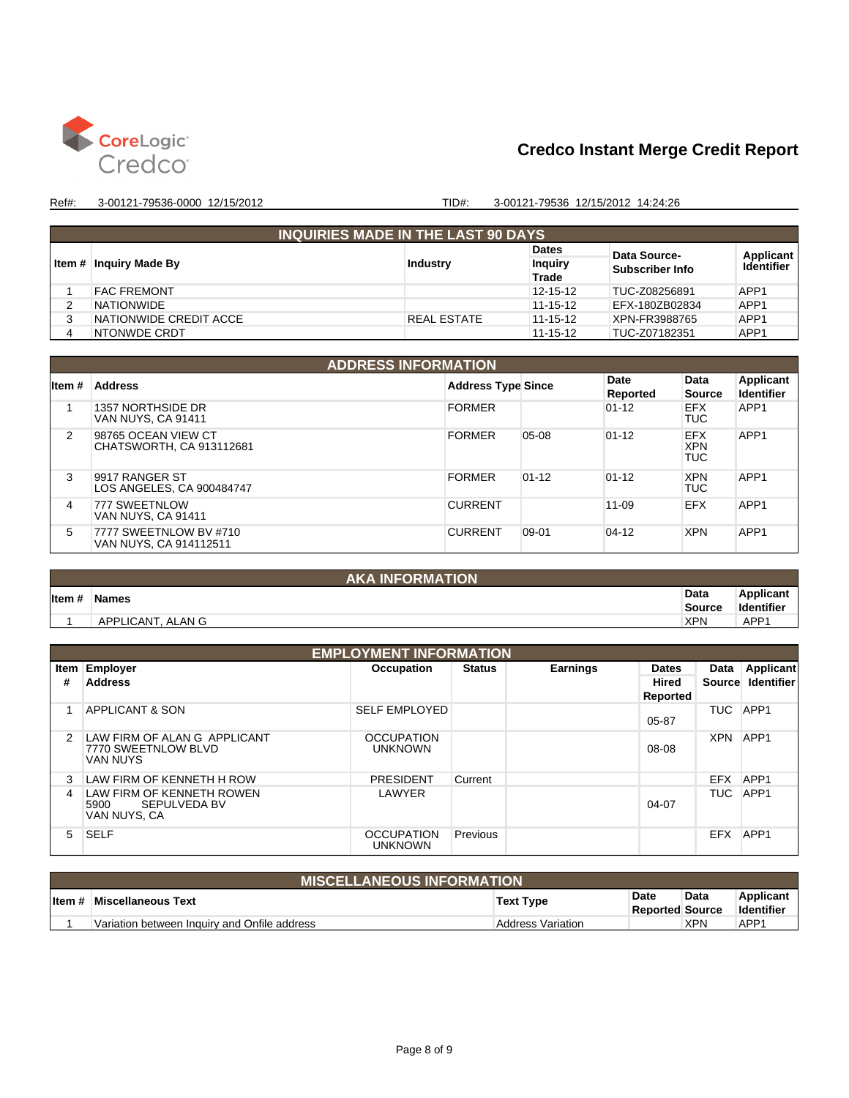

| <b>INQUIRIES MADE IN THE LAST 90 DAYS</b> |                    |                                |                 |                         |  |  |  |  |  |
|-------------------------------------------|--------------------|--------------------------------|-----------------|-------------------------|--|--|--|--|--|
|                                           |                    | <b>Dates</b>                   | Data Source-    | Applicant<br>Identifier |  |  |  |  |  |
| ∣ Item # ∣Inguiry Made By                 | <b>Industry</b>    | <b>Inquiry</b><br><b>Trade</b> | Subscriber Info |                         |  |  |  |  |  |
| <b>FAC FREMONT</b>                        |                    | 12-15-12                       | TUC-Z08256891   | APP <sub>1</sub>        |  |  |  |  |  |
| <b>NATIONWIDE</b>                         |                    | 11-15-12                       | EFX-180ZB02834  | APP <sub>1</sub>        |  |  |  |  |  |
| NATIONWIDE CREDIT ACCE                    | <b>REAL ESTATE</b> | 11-15-12                       | XPN-FR3988765   | APP <sub>1</sub>        |  |  |  |  |  |
| NTONWDE CRDT                              |                    | 11-15-12                       | TUC-Z07182351   | APP1                    |  |  |  |  |  |

|         | <b>ADDRESS INFORMATION</b>                       |                           |           |                  |                                        |                                |  |  |  |
|---------|--------------------------------------------------|---------------------------|-----------|------------------|----------------------------------------|--------------------------------|--|--|--|
| lltem # | <b>Address</b>                                   | <b>Address Type Since</b> |           | Date<br>Reported | Data<br><b>Source</b>                  | Applicant<br><b>Identifier</b> |  |  |  |
|         | 1357 NORTHSIDE DR<br>VAN NUYS, CA 91411          | <b>FORMER</b>             |           | $01 - 12$        | <b>EFX</b><br><b>TUC</b>               | APP1                           |  |  |  |
| 2       | 98765 OCEAN VIEW CT<br>CHATSWORTH, CA 913112681  | <b>FORMER</b>             | $05-08$   | $01 - 12$        | <b>EFX</b><br><b>XPN</b><br><b>TUC</b> | APP <sub>1</sub>               |  |  |  |
| 3       | 9917 RANGER ST<br>LOS ANGELES, CA 900484747      | <b>FORMER</b>             | $01 - 12$ | $01 - 12$        | <b>XPN</b><br><b>TUC</b>               | APP <sub>1</sub>               |  |  |  |
| 4       | 777 SWEETNLOW<br>VAN NUYS, CA 91411              | <b>CURRENT</b>            |           | $11 - 09$        | <b>EFX</b>                             | APP <sub>1</sub>               |  |  |  |
| 5       | 7777 SWEETNLOW BV #710<br>VAN NUYS, CA 914112511 | <b>CURRENT</b>            | $09 - 01$ | $04 - 12$        | <b>XPN</b>                             | APP <sub>1</sub>               |  |  |  |

|         | <b>AKA INFORMATION</b> |                       |                                |
|---------|------------------------|-----------------------|--------------------------------|
| litem # | <b>Names</b>           | Data<br><b>Source</b> | Applicant<br><b>Identifier</b> |
|         |                        |                       |                                |
|         | APPLICANT, ALAN G      | <b>XPN</b>            | APP1                           |

|      | <b>EMPLOYMENT INFORMATION</b>                       |                                     |               |                 |              |            |                   |  |  |
|------|-----------------------------------------------------|-------------------------------------|---------------|-----------------|--------------|------------|-------------------|--|--|
| Item | Employer                                            | <b>Occupation</b>                   | <b>Status</b> | <b>Earnings</b> | <b>Dates</b> | Data       | <b>Applicant</b>  |  |  |
| #    | <b>Address</b>                                      |                                     |               |                 | <b>Hired</b> | Source     | <b>Identifier</b> |  |  |
|      |                                                     |                                     |               |                 | Reported     |            |                   |  |  |
|      | <b>APPLICANT &amp; SON</b>                          | <b>SELF EMPLOYED</b>                |               |                 |              | TUC        | APP1              |  |  |
|      |                                                     |                                     |               |                 | $05 - 87$    |            |                   |  |  |
| 2    | LAW FIRM OF ALAN G APPLICANT<br>7770 SWEETNLOW BLVD | <b>OCCUPATION</b><br><b>UNKNOWN</b> |               |                 | 08-08        | <b>XPN</b> | APP <sub>1</sub>  |  |  |
|      | <b>VAN NUYS</b>                                     |                                     |               |                 |              |            |                   |  |  |
| 3    | LAW FIRM OF KENNETH H ROW                           | <b>PRESIDENT</b>                    | Current       |                 |              | <b>EFX</b> | APP1              |  |  |
| 4    | LAW FIRM OF KENNETH ROWEN                           | LAWYER                              |               |                 |              | TUC        | APP1              |  |  |
|      | SEPULVEDA BV<br>5900<br>VAN NUYS, CA                |                                     |               |                 | $04 - 07$    |            |                   |  |  |
| 5    | <b>SELF</b>                                         | <b>OCCUPATION</b><br><b>UNKNOWN</b> | Previous      |                 |              | <b>EFX</b> | APP <sub>1</sub>  |  |  |

|         | <b>MISCELLANEOUS INFORMATION</b>             |                          |                                |            |                                |  |  |  |
|---------|----------------------------------------------|--------------------------|--------------------------------|------------|--------------------------------|--|--|--|
| ∣ltem # | Miscellaneous Text                           | <b>Text Type</b>         | Date<br><b>Reported Source</b> | Data       | Applicant<br><b>Identifier</b> |  |  |  |
|         | Variation between Inquiry and Onfile address | <b>Address Variation</b> |                                | <b>XPN</b> | APP1                           |  |  |  |